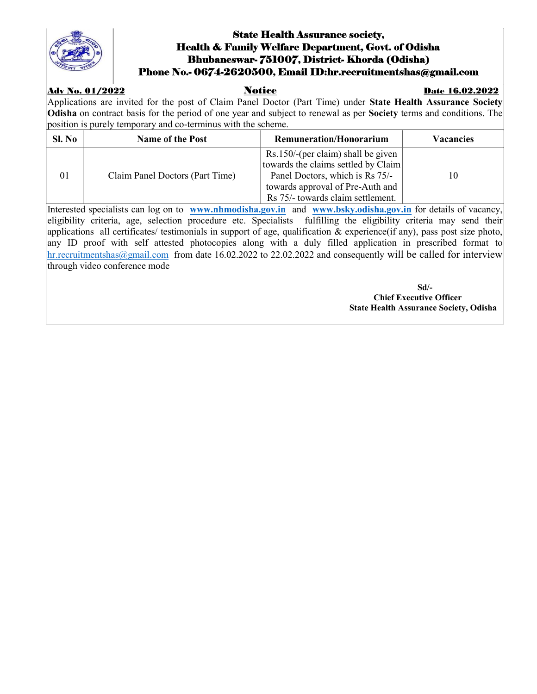

## State Health Assurance society, Health & Family Welfare Department, Govt. of Odisha Bhubaneswar- 751007, District- Khorda (Odisha) Phone No.- 0674-2620500, Email ID:hr.recruitmentshas@gmail.com

## Adv No. 01/2022 Notice Date 16.02.2022

Applications are invited for the post of Claim Panel Doctor (Part Time) under State Health Assurance Society Odisha on contract basis for the period of one year and subject to renewal as per Society terms and conditions. The position is purely temporary and co-terminus with the scheme.

| Sl. No | <b>Name of the Post</b>         | <b>Remuneration/Honorarium</b>                                                                               | <b>Vacancies</b> |
|--------|---------------------------------|--------------------------------------------------------------------------------------------------------------|------------------|
| 01     | Claim Panel Doctors (Part Time) | Rs.150/-(per claim) shall be given<br>towards the claims settled by Claim<br>Panel Doctors, which is Rs 75/- | 10               |
|        |                                 | towards approval of Pre-Auth and<br>Rs 75/- towards claim settlement.                                        |                  |

Interested specialists can log on to www.nhmodisha.gov.in and www.bsky.odisha.gov.in for details of vacancy, eligibility criteria, age, selection procedure etc. Specialists fulfilling the eligibility criteria may send their applications all certificates/ testimonials in support of age, qualification & experience(if any), pass post size photo, any ID proof with self attested photocopies along with a duly filled application in prescribed format to hr.recruitmentshas@gmail.com from date 16.02.2022 to 22.02.2022 and consequently will be called for interview through video conference mode

 Sd/- Chief Executive Officer State Health Assurance Society, Odisha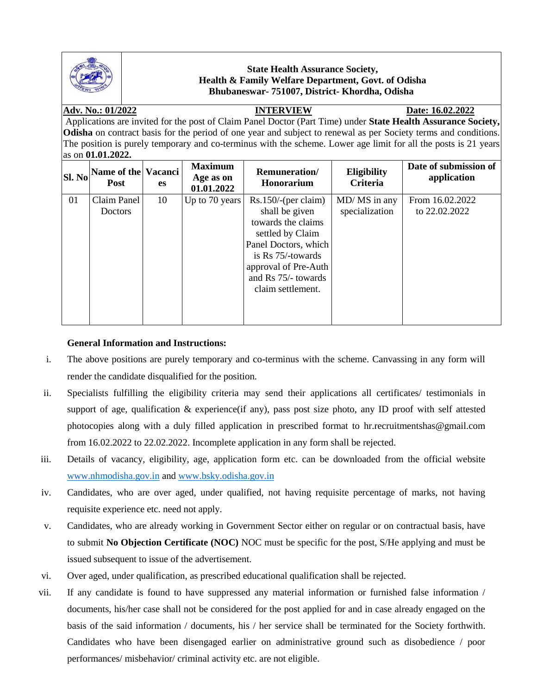

### **State Health Assurance Society, Health & Family Welfare Department, Govt. of Odisha Bhubaneswar- 751007, District- Khordha, Odisha**

### **Adv. No.: 01/2022 INTERVIEW Date: 16.02.2022**

Applications are invited for the post of Claim Panel Doctor (Part Time) under **State Health Assurance Society, Odisha** on contract basis for the period of one year and subject to renewal as per Society terms and conditions. The position is purely temporary and co-terminus with the scheme. Lower age limit for all the posts is 21 years as on **01.01.2022.**

| <b>Sl. No</b> | Name of the Vacanci<br><b>Post</b> | es | <b>Maximum</b><br>Age as on<br>01.01.2022 | <b>Remuneration</b> /<br><b>Honorarium</b> | <b>Eligibility</b><br><b>Criteria</b> | Date of submission of<br>application |
|---------------|------------------------------------|----|-------------------------------------------|--------------------------------------------|---------------------------------------|--------------------------------------|
| 01            | Claim Panel                        | 10 | Up to 70 years                            | Rs.150/(per claim)                         | MD/ MS in any                         | From 16.02.2022                      |
|               | <b>Doctors</b>                     |    |                                           | shall be given                             | specialization                        | to 22.02.2022                        |
|               |                                    |    |                                           | towards the claims                         |                                       |                                      |
|               |                                    |    |                                           | settled by Claim                           |                                       |                                      |
|               |                                    |    |                                           | Panel Doctors, which                       |                                       |                                      |
|               |                                    |    |                                           | is $\text{Rs } 75/$ -towards               |                                       |                                      |
|               |                                    |    |                                           | approval of Pre-Auth                       |                                       |                                      |
|               |                                    |    |                                           | and Rs 75/- towards                        |                                       |                                      |
|               |                                    |    |                                           | claim settlement.                          |                                       |                                      |
|               |                                    |    |                                           |                                            |                                       |                                      |
|               |                                    |    |                                           |                                            |                                       |                                      |
|               |                                    |    |                                           |                                            |                                       |                                      |

#### **General Information and Instructions:**

- i. The above positions are purely temporary and co-terminus with the scheme. Canvassing in any form will render the candidate disqualified for the position.
- ii. Specialists fulfilling the eligibility criteria may send their applications all certificates/ testimonials in support of age, qualification & experience(if any), pass post size photo, any ID proof with self attested photocopies along with a duly filled application in prescribed format to hr.recruitmentshas@gmail.com from 16.02.2022 to 22.02.2022. Incomplete application in any form shall be rejected.
- iii. Details of vacancy, eligibility, age, application form etc. can be downloaded from the official website [www.nhmodisha.gov.in](http://www.nhmodisha.gov.in/) and [www.bsky.odisha.gov.in](http://www.bsky.odisha.gov.in/)
- iv. Candidates, who are over aged, under qualified, not having requisite percentage of marks, not having requisite experience etc. need not apply.
- v. Candidates, who are already working in Government Sector either on regular or on contractual basis, have to submit **No Objection Certificate (NOC)** NOC must be specific for the post, S/He applying and must be issued subsequent to issue of the advertisement.
- vi. Over aged, under qualification, as prescribed educational qualification shall be rejected.
- vii. If any candidate is found to have suppressed any material information or furnished false information / documents, his/her case shall not be considered for the post applied for and in case already engaged on the basis of the said information / documents, his / her service shall be terminated for the Society forthwith. Candidates who have been disengaged earlier on administrative ground such as disobedience / poor performances/ misbehavior/ criminal activity etc. are not eligible.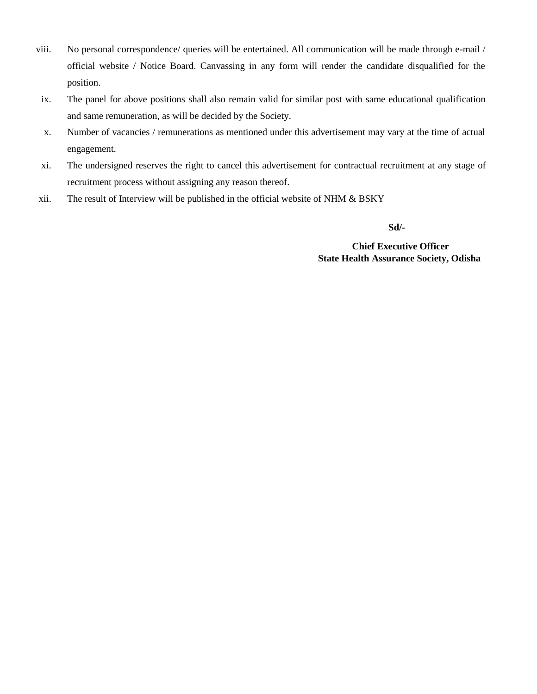- viii. No personal correspondence/ queries will be entertained. All communication will be made through e-mail / official website / Notice Board. Canvassing in any form will render the candidate disqualified for the position.
- ix. The panel for above positions shall also remain valid for similar post with same educational qualification and same remuneration, as will be decided by the Society.
- x. Number of vacancies / remunerations as mentioned under this advertisement may vary at the time of actual engagement.
- xi. The undersigned reserves the right to cancel this advertisement for contractual recruitment at any stage of recruitment process without assigning any reason thereof.
- xii. The result of Interview will be published in the official website of NHM & BSKY

 **Sd/-**

 **Chief Executive Officer State Health Assurance Society, Odisha**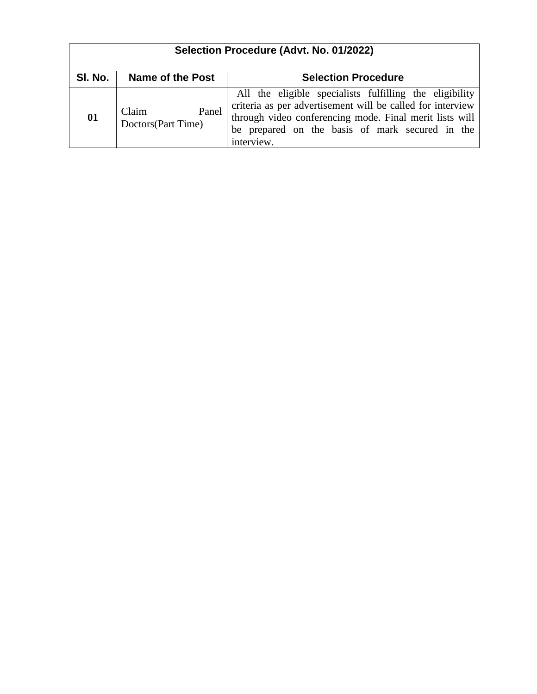| Selection Procedure (Advt. No. 01/2022) |                                      |                                                                                                                                                                                                                                                   |  |  |  |
|-----------------------------------------|--------------------------------------|---------------------------------------------------------------------------------------------------------------------------------------------------------------------------------------------------------------------------------------------------|--|--|--|
| SI. No.                                 | Name of the Post                     | <b>Selection Procedure</b>                                                                                                                                                                                                                        |  |  |  |
| 01                                      | Panel<br>Claim<br>Doctors(Part Time) | All the eligible specialists fulfilling the eligibility<br>criteria as per advertisement will be called for interview<br>through video conferencing mode. Final merit lists will<br>be prepared on the basis of mark secured in the<br>interview. |  |  |  |